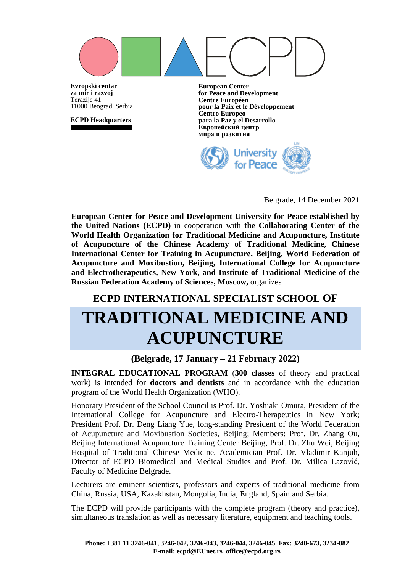**Evropski centar European Center for Peace and Development za mir i razvoj** Terazije 41 **Centre Européen pour la Paix et le Développement** 11000 Beograd, Serbia **Centro Europeo para la Paz y el Desarrollo ECPD Headquarters Европейский центр мира и развития**University for Peace

Belgrade, 14 December 2021

**European Center for Peace and Development University for Peace established by the United Nations (ECPD)** in cooperation with **the Collaborating Center of the World Health Organization for Traditional Medicine and Acupuncture, Institute of Acupuncture of the Chinese Academy of Traditional Medicine, Chinese International Center for Training in Acupuncture, Beijing, World Federation of Acupuncture and Moxibustion, Beijing, International College for Acupuncture and Electrotherapeutics, New York, and Institute of Traditional Medicine of the Russian Federation Academy of Sciences, Moscow,** organizes

# **ECPD INTERNATIONAL SPECIALIST SCHOOL OF TRADITIONAL MEDICINE AND ACUPUNCTURE**

### **(Belgrade, 17 January – 21 February 2022)**

**INTEGRAL EDUCATIONAL PROGRAM** (**300 classes** of theory and practical work) is intended for **doctors and dentists** and in accordance with the education program of the World Health Organization (WHO).

Honorary President of the School Council is Prof. Dr. Yoshiaki Omura, President of the International College for Acupuncture and Electro-Therapeutics in New York; President Prof. Dr. Deng Liang Yue, long-standing President of the World Federation of Acupuncture and Moxibustion Societies, Beijing; Members: Prof. Dr. Zhang Ou, Beijing International Acupuncture Training Center Beijing, Prof. Dr. Zhu Wei, Beijing Hospital of Traditional Chinese Medicine, Academician Prof. Dr. Vladimir Kanjuh, Director of ECPD Biomedical and Medical Studies and Prof. Dr. Milica Lazović, Faculty of Medicine Belgrade.

Lecturers are eminent scientists, professors and experts of traditional medicine from China, Russia, USA, Kazakhstan, Mongolia, India, England, Spain and Serbia.

The ECPD will provide participants with the complete program (theory and practice), simultaneous translation as well as necessary literature, equipment and teaching tools.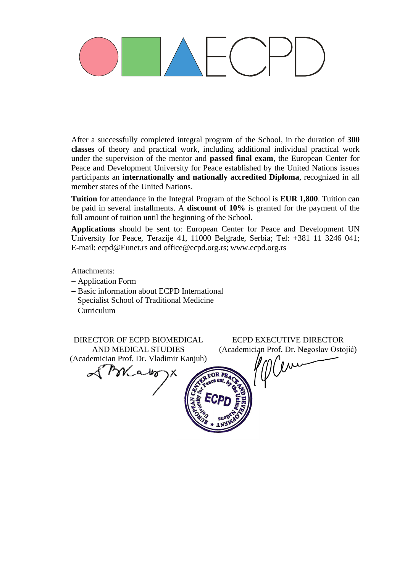After a successfully completed integral program of the School, in the duration of **300 classes** of theory and practical work, including additional individual practical work under the supervision of the mentor and **passed final exam**, the European Center for Peace and Development University for Peace established by the United Nations issues participants an **internationally and nationally accredited Diploma**, recognized in all member states of the United Nations.

**Tuition** for attendance in the Integral Program of the School is **EUR 1,800**. Tuition can be paid in several installments. A **discount of 10%** is granted for the payment of the full amount of tuition until the beginning of the School.

**Applications** should be sent to: European Center for Peace and Development UN University for Peace, Terazije 41, 11000 Belgrade, Serbia; Tel: +381 11 3246 041; E-mail: [ecpd@Eunet.r](mailto:ecpd@Eunet.)s and office@ecpd.org.rs; www.ecpd.org.rs

Attachments:

- − Application Form
- − Basic information about ECPD International Specialist School of Traditional Medicine
- − Curriculum

DIRECTOR OF ECPD BIOMEDICAL AND MEDICAL STUDIES (Academician Prof. Dr. Vladimir Kanjuh)

ECPD EXECUTIVE DIRECTOR (Academician Prof. Dr. Negoslav Ostojić)

(jui

SMako ١X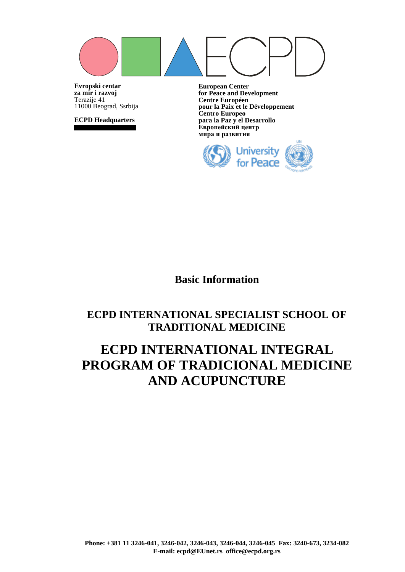**Evropski centar za mir i razvoj** Terazije 41 11000 Beograd, Ssrbija

**ECPD Headquarters**

**European Center for Peace and Development Centre Européen pour la Paix et le Développement Centro Europeo para la Paz y el Desarrollo Европейский центр мира и развития**



**Basic Information**

# **ECPD INTERNATIONAL SPECIALIST SCHOOL OF TRADITIONAL MEDICINE**

# **ECPD INTERNATIONAL INTEGRAL PROGRAM OF TRADICIONAL MEDICINE AND ACUPUNCTURE**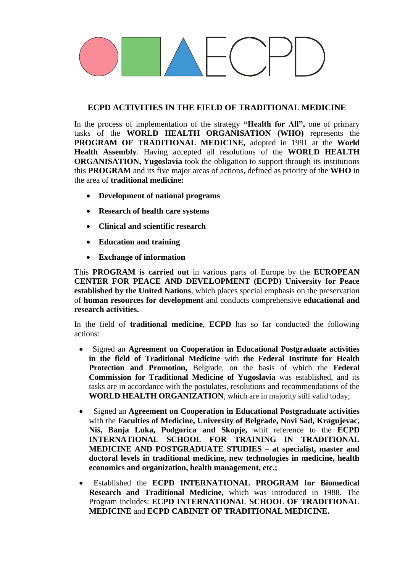### **ECPD ACTIVITIES IN THE FIELD OF TRADITIONAL MEDICINE**

In the process of implementation of the strategy **"Health for All",** one of primary tasks of the **WORLD HEALTH ORGANISATION (WHO)** represents the **PROGRAM OF TRADITIONAL MEDICINE,** adopted in 1991 at the **World Health Assembly**. Having accepted all resolutions of the **WORLD HEALTH ORGANISATION, Yugoslavia** took the obligation to support through its institutions this **PROGRAM** and its five major areas of actions, defined as priority of the **WHO** in the area of **traditional medicine:**

- **Development of national programs**
- **Research of health care systems**
- **Clinical and scientific research**
- **Education and training**
- **Exchange of information**

This **PROGRAM is carried out** in various parts of Europe by the **EUROPEAN CENTER FOR PEACE AND DEVELOPMENT (ECPD) University for Peace established by the United Nations**, which places special emphasis on the preservation of **human resources for development** and conducts comprehensive **educational and research activities.**

In the field of **traditional medicine**, **ECPD** has so far conducted the following actions:

- Signed an **Agreement on Cooperation in Educational Postgraduate activities in the field of Traditional Medicine** with **the Federal Institute for Health Protection and Promotion,** Belgrade, on the basis of which the **Federal Commission for Traditional Medicine of Yugoslavia** was established, and its tasks are in accordance with the postulates, resolutions and recommendations of the **WORLD HEALTH ORGANIZATION**, which are in majority still valid today;
- Signed an **Agreement on Cooperation in Educational Postgraduate activities** with the **Faculties of Medicine, University of Belgrade, Novi Sad, Kragujevac, Niš, Banja Luka, Podgorica and Skopje,** whit reference to the **ECPD INTERNATIONAL SCHOOL FOR TRAINING IN TRADITIONAL MEDICINE AND POSTGRADUATE STUDIES – at specialist, master and doctoral levels in traditional medicine, new technologies in medicine, health economics and organization, health management, etc.;**
- Established the **ECPD INTERNATIONAL PROGRAM for Biomedical Research and Traditional Medicine,** which was introduced in 1988. The Program includes: **ECPD INTERNATIONAL SCHOOL OF TRADITIONAL MEDICINE** and **ECPD CABINET OF TRADITIONAL MEDICINE.**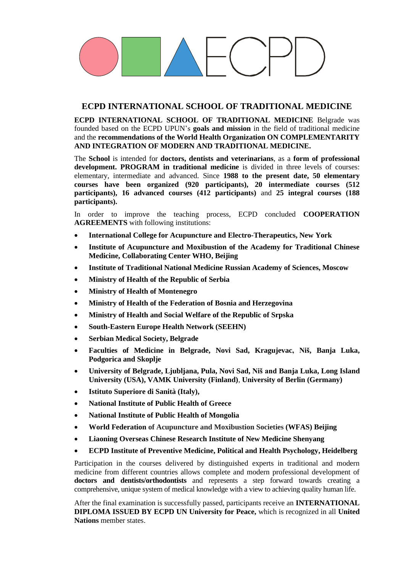### **ECPD INTERNATIONAL SCHOOL OF TRADITIONAL MEDICINE**

**ECPD INTERNATIONAL SCHOOL OF TRADITIONAL MEDICINE** Belgrade was founded based on the ECPD UPUN's **goals and mission** in the field of traditional medicine and the **recommendations of the World Health Organization ON COMPLEMENTARITY AND INTEGRATION OF MODERN AND TRADITIONAL MEDICINE.**

The **School** is intended for **doctors, dentists and veterinarians**, as a **form of professional development. PROGRAM in traditional medicine** is divided in three levels of courses: elementary, intermediate and advanced. Since **1988 to the present date, 50 elementary courses have been organized (920 participants), 20 intermediate courses (512 participants), 16 advanced courses (412 participants)** and **25 integral courses (188 participants).**

In order to improve the teaching process, ECPD concluded **COOPERATION AGREEMENTS** with following institutions:

- **International College for Acupuncture and Electro-Therapeutics, New York**
- **Institute of Acupuncture and Moxibustion of the Academy for Traditional Chinese Medicine, Collaborating Center WHO, Beijing**
- **Institute of Traditional National Medicine Russian Academy of Sciences, Moscow**
- **Ministry of Health of the Republic of Serbia**
- **Ministry of Health of Montenegro**
- **Ministry of Health of the Federation of Bosnia and Herzegovina**
- **Ministry of Health and Social Welfare of the Republic of Srpska**
- **South-Eastern Europe Health Network (SEEHN)**
- **Serbian Medical Society, Belgrade**
- **Faculties of Medicine in Belgrade, Novi Sad, Kragujevac, Niš, Banja Luka, Podgorica and Skoplje**
- **University of Belgrade, Ljubljana, Pula, Novi Sad, Niš and Banja Luka, Long Island University (USA), VAMK University (Finland)**, **University of Berlin (Germany)**
- **Istituto Superiore di Sanità (Italy),**
- **National Institute of Public Health of Greece**
- **National Institute of Public Health of Mongolia**
- **World Federation of Acupuncture and Moxibustion Societies (WFAS) Beijing**
- **Liaoning Overseas Chinese Research Institute of New Medicine Shenyang**
- **ECPD Institute of Preventive Medicine, Political and Health Psychology, Heidelberg**

Participation in the courses delivered by distinguished experts in traditional and modern medicine from different countries allows complete and modern professional development of **doctors and dentists/orthodontists** and represents a step forward towards creating a comprehensive, unique system of medical knowledge with a view to achieving quality human life.

After the final examination is successfully passed, participants receive an **INTERNATIONAL DIPLOMA ISSUED BY ECPD UN University for Peace,** which is recognized in all **United Nations** member states.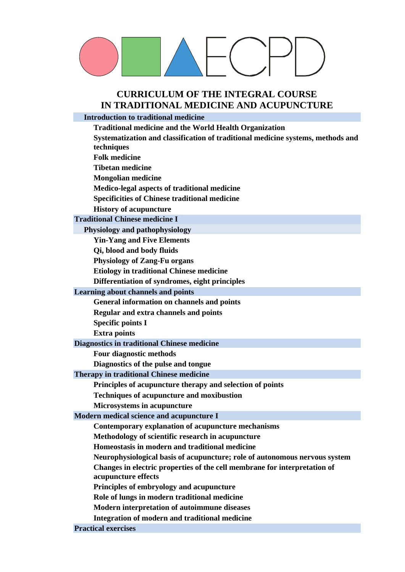## **CURRICULUM OF THE INTEGRAL COURSE IN TRADITIONAL MEDICINE AND ACUPUNCTURE**

## **Introduction to traditional medicine**

| <b>Traditional medicine and the World Health Organization</b>                                    |
|--------------------------------------------------------------------------------------------------|
| Systematization and classification of traditional medicine systems, methods and                  |
| techniques                                                                                       |
| <b>Folk medicine</b>                                                                             |
| <b>Tibetan medicine</b>                                                                          |
| <b>Mongolian medicine</b>                                                                        |
| Medico-legal aspects of traditional medicine                                                     |
| <b>Specificities of Chinese traditional medicine</b>                                             |
| <b>History of acupuncture</b>                                                                    |
| <b>Traditional Chinese medicine I</b>                                                            |
| Physiology and pathophysiology                                                                   |
| <b>Yin-Yang and Five Elements</b>                                                                |
| Qi, blood and body fluids                                                                        |
| <b>Physiology of Zang-Fu organs</b>                                                              |
| <b>Etiology in traditional Chinese medicine</b>                                                  |
| Differentiation of syndromes, eight principles                                                   |
| Learning about channels and points                                                               |
| General information on channels and points                                                       |
| Regular and extra channels and points                                                            |
| <b>Specific points I</b>                                                                         |
| <b>Extra points</b>                                                                              |
| Diagnostics in traditional Chinese medicine                                                      |
| <b>Four diagnostic methods</b>                                                                   |
| Diagnostics of the pulse and tongue                                                              |
| Therapy in traditional Chinese medicine                                                          |
| Principles of acupuncture therapy and selection of points                                        |
| <b>Techniques of acupuncture and moxibustion</b>                                                 |
| <b>Microsystems in acupuncture</b>                                                               |
| Modern medical science and acupuncture I                                                         |
| Contemporary explanation of acupuncture mechanisms                                               |
| Methodology of scientific research in acupuncture                                                |
| Homeostasis in modern and traditional medicine                                                   |
| Neurophysiological basis of acupuncture; role of autonomous nervous system                       |
| Changes in electric properties of the cell membrane for interpretation of<br>acupuncture effects |
| Principles of embryology and acupuncture                                                         |
| Role of lungs in modern traditional medicine                                                     |
| Modern interpretation of autoimmune diseases                                                     |
| Integration of modern and traditional medicine                                                   |
| <b>Practical exercises</b>                                                                       |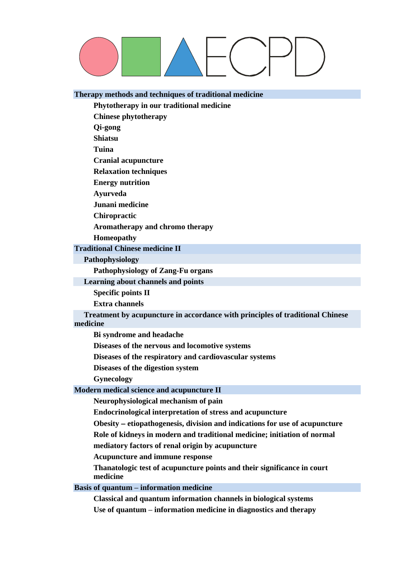#### **Therapy methods and techniques of traditional medicine**

**Phytotherapy in our traditional medicine**

**Chinese phytotherapy**

**Qi-gong**

**Shiatsu**

**Tuina**

**Cranial acupuncture**

**Relaxation techniques**

**Energy nutrition** 

**Ayurveda**

**Junani medicine**

**Chiropractic**

**Aromatherapy and chromo therapy**

**Homeopathy**

**Traditional Chinese medicine II**

**Pathophysiology**

**Pathophysiology of Zang-Fu organs**

**Learning about channels and points**

**Specific points II**

**Extra channels**

**Treatment by acupuncture in accordance with principles of traditional Chinese medicine**

**Bi syndrome and headache** 

**Diseases of the nervous and locomotive systems**

**Diseases of the respiratory and cardiovascular systems** 

**Diseases of the digestion system** 

**Gynecology**

**Modern medical science and acupuncture II**

**Neurophysiological mechanism of pain**

**Endocrinological interpretation of stress and acupuncture** 

**Obesity** − **etiopathogenesis, division and indications for use of acupuncture** 

**Role of kidneys in modern and traditional medicine; initiation of normal**

**mediatory factors of renal origin by acupuncture** 

**Acupuncture and immune response**

**Thanatologic test of acupuncture points and their significance in court medicine** 

**Basis of quantum – information medicine**

**Classical and quantum information channels in biological systems Use of quantum – information medicine in diagnostics and therapy**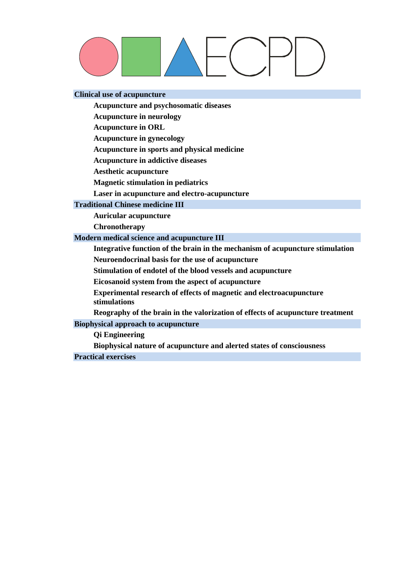#### **Clinical use of acupuncture**

**Acupuncture and psychosomatic diseases**

**Acupuncture in neurology**

**Acupuncture in ORL**

**Acupuncture in gynecology**

**Acupuncture in sports and physical medicine**

**Acupuncture in addictive diseases**

**Aesthetic acupuncture**

**Magnetic stimulation in pediatrics** 

**Laser in acupuncture and electro-acupuncture**

#### **Traditional Chinese medicine III**

**Auricular acupuncture**

**Chronotherapy**

#### **Modern medical science and acupuncture III**

**Integrative function of the brain in the mechanism of acupuncture stimulation Neuroendocrinal basis for the use of acupuncture**

**Stimulation of endotel of the blood vessels and acupuncture**

**Eicosanoid system from the aspect of acupuncture**

**Experimental research of effects of magnetic and electroacupuncture stimulations**

**Reography of the brain in the valorization of effects of acupuncture treatment** 

#### **Biophysical approach to acupuncture**

**Qi Engineering**

**Biophysical nature of acupuncture and alerted states of consciousness** 

**Practical exercises**